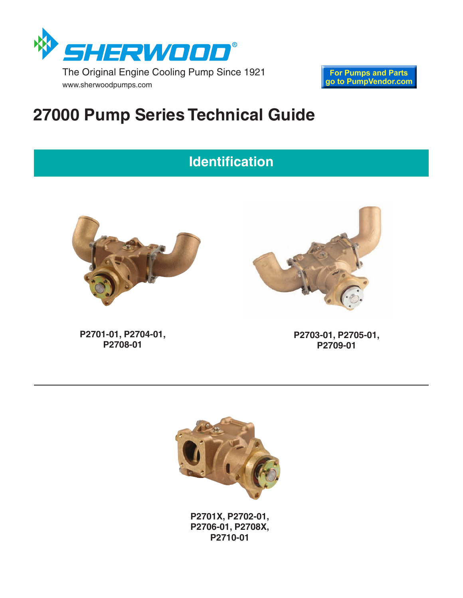

www.sherwoodpumps.com

**For Pumps and Parts** go to PumpVendor.com

# **27000 Pump Series Technical Guide**

## **Identification**



**P2701-01, P2704-01, P2708-01**

**P2703-01, P2705-01, P2709-01**



**P2701X, P2702-01, P2706-01, P2708X, P2710-01**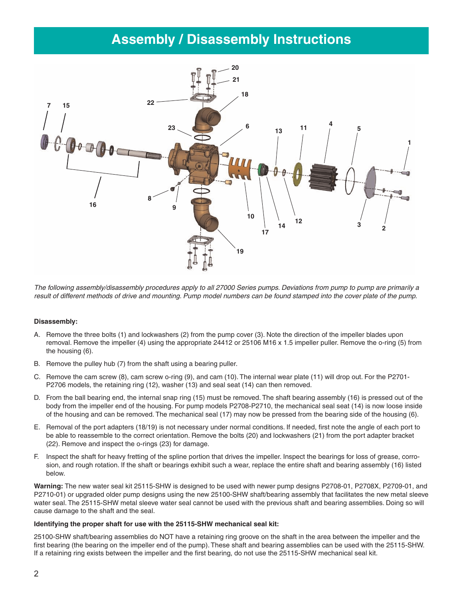### **Assembly / Disassembly Instructions**



The following assembly/disassembly procedures apply to all 27000 Series pumps. Deviations from pump to pump are primarily a result of different methods of drive and mounting. Pump model numbers can be found stamped into the cover plate of the pump.

#### **Disassembly:**

- A. Remove the three bolts (1) and lockwashers (2) from the pump cover (3). Note the direction of the impeller blades upon removal. Remove the impeller (4) using the appropriate 24412 or 25106 M16 x 1.5 impeller puller. Remove the o-ring (5) from the housing (6).
- B. Remove the pulley hub (7) from the shaft using a bearing puller.
- C. Remove the cam screw (8), cam screw o-ring (9), and cam (10). The internal wear plate (11) will drop out. For the P2701- P2706 models, the retaining ring (12), washer (13) and seal seat (14) can then removed.
- D. From the ball bearing end, the internal snap ring (15) must be removed. The shaft bearing assembly (16) is pressed out of the body from the impeller end of the housing. For pump models P2708-P2710, the mechanical seal seat (14) is now loose inside of the housing and can be removed. The mechanical seal (17) may now be pressed from the bearing side of the housing (6).
- E. Removal of the port adapters (18/19) is not necessary under normal conditions. If needed, first note the angle of each port to be able to reassemble to the correct orientation. Remove the bolts (20) and lockwashers (21) from the port adapter bracket (22). Remove and inspect the o-rings (23) for damage.
- F. Inspect the shaft for heavy fretting of the spline portion that drives the impeller. Inspect the bearings for loss of grease, corrosion, and rough rotation. If the shaft or bearings exhibit such a wear, replace the entire shaft and bearing assembly (16) listed below.

**Warning:** The new water seal kit 25115-SHW is designed to be used with newer pump designs P2708-01, P2708X, P2709-01, and P2710-01) or upgraded older pump designs using the new 25100-SHW shaft/bearing assembly that facilitates the new metal sleeve water seal. The 25115-SHW metal sleeve water seal cannot be used with the previous shaft and bearing assemblies. Doing so will cause damage to the shaft and the seal.

#### **Identifying the proper shaft for use with the 25115-SHW mechanical seal kit:**

25100-SHW shaft/bearing assemblies do NOT have a retaining ring groove on the shaft in the area between the impeller and the first bearing (the bearing on the impeller end of the pump). These shaft and bearing assemblies can be used with the 25115-SHW. If a retaining ring exists between the impeller and the first bearing, do not use the 25115-SHW mechanical seal kit.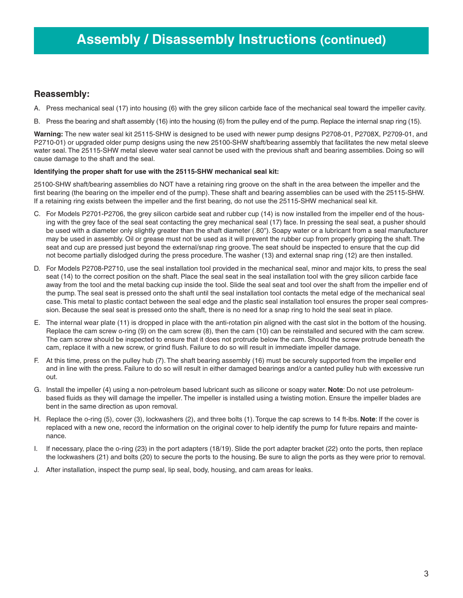### **Reassembly:**

- A. Press mechanical seal (17) into housing (6) with the grey silicon carbide face of the mechanical seal toward the impeller cavity.
- B. Press the bearing and shaft assembly (16) into the housing (6) from the pulley end of the pump. Replace the internal snap ring (15).

**Warning:** The new water seal kit 25115-SHW is designed to be used with newer pump designs P2708-01, P2708X, P2709-01, and P2710-01) or upgraded older pump designs using the new 25100-SHW shaft/bearing assembly that facilitates the new metal sleeve water seal. The 25115-SHW metal sleeve water seal cannot be used with the previous shaft and bearing assemblies. Doing so will cause damage to the shaft and the seal.

#### **Identifying the proper shaft for use with the 25115-SHW mechanical seal kit:**

25100-SHW shaft/bearing assemblies do NOT have a retaining ring groove on the shaft in the area between the impeller and the first bearing (the bearing on the impeller end of the pump). These shaft and bearing assemblies can be used with the 25115-SHW. If a retaining ring exists between the impeller and the first bearing, do not use the 25115-SHW mechanical seal kit.

- C. For Models P2701-P2706, the grey silicon carbide seat and rubber cup (14) is now installed from the impeller end of the housing with the grey face of the seal seat contacting the grey mechanical seal (17) face. In pressing the seal seat, a pusher should be used with a diameter only slightly greater than the shaft diameter (.80"). Soapy water or a lubricant from a seal manufacturer may be used in assembly. Oil or grease must not be used as it will prevent the rubber cup from properly gripping the shaft. The seat and cup are pressed just beyond the external/snap ring groove. The seat should be inspected to ensure that the cup did not become partially dislodged during the press procedure. The washer (13) and external snap ring (12) are then installed.
- D. For Models P2708-P2710, use the seal installation tool provided in the mechanical seal, minor and major kits, to press the seal seat (14) to the correct position on the shaft. Place the seal seat in the seal installation tool with the grey silicon carbide face away from the tool and the metal backing cup inside the tool. Slide the seal seat and tool over the shaft from the impeller end of the pump. The seal seat is pressed onto the shaft until the seal installation tool contacts the metal edge of the mechanical seal case. This metal to plastic contact between the seal edge and the plastic seal installation tool ensures the proper seal compression. Because the seal seat is pressed onto the shaft, there is no need for a snap ring to hold the seal seat in place.
- E. The internal wear plate (11) is dropped in place with the anti-rotation pin aligned with the cast slot in the bottom of the housing. Replace the cam screw o-ring (9) on the cam screw (8), then the cam (10) can be reinstalled and secured with the cam screw. The cam screw should be inspected to ensure that it does not protrude below the cam. Should the screw protrude beneath the cam, replace it with a new screw, or grind flush. Failure to do so will result in immediate impeller damage.
- F. At this time, press on the pulley hub (7). The shaft bearing assembly (16) must be securely supported from the impeller end and in line with the press. Failure to do so will result in either damaged bearings and/or a canted pulley hub with excessive run out.
- G. Install the impeller (4) using a non-petroleum based lubricant such as silicone or soapy water. **Note**: Do not use petroleumbased fluids as they will damage the impeller. The impeller is installed using a twisting motion. Ensure the impeller blades are bent in the same direction as upon removal.
- H. Replace the o-ring (5), cover (3), lockwashers (2), and three bolts (1). Torque the cap screws to 14 ft-lbs. **Note**: If the cover is replaced with a new one, record the information on the original cover to help identify the pump for future repairs and maintenance.
- I. If necessary, place the o-ring (23) in the port adapters (18/19). Slide the port adapter bracket (22) onto the ports, then replace the lockwashers (21) and bolts (20) to secure the ports to the housing. Be sure to align the ports as they were prior to removal.
- J. After installation, inspect the pump seal, lip seal, body, housing, and cam areas for leaks.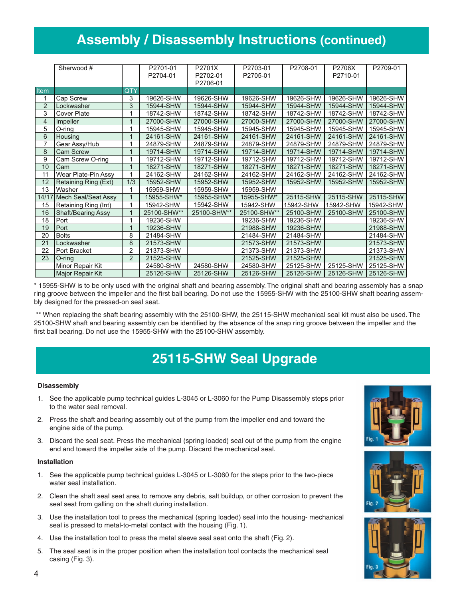## **Assembly / Disassembly Instructions (continued)**

|                | Sherwood #           |                | P2701-01    | P2701X      | P2703-01    | P2708-01  | P2708X    | P2709-01  |
|----------------|----------------------|----------------|-------------|-------------|-------------|-----------|-----------|-----------|
|                |                      |                | P2704-01    | P2702-01    | P2705-01    |           | P2710-01  |           |
|                |                      |                |             | P2706-01    |             |           |           |           |
| Item           |                      | QTY            |             |             |             |           |           |           |
| 1              | Cap Screw            | 3              | 19626-SHW   | 19626-SHW   | 19626-SHW   | 19626-SHW | 19626-SHW | 19626-SHW |
| 2              | Lockwasher           | 3              | 15944-SHW   | 15944-SHW   | 15944-SHW   | 15944-SHW | 15944-SHW | 15944-SHW |
| 3              | Cover Plate          | 1              | 18742-SHW   | 18742-SHW   | 18742-SHW   | 18742-SHW | 18742-SHW | 18742-SHW |
| 4              | Impeller             | 1              | 27000-SHW   | 27000-SHW   | 27000-SHW   | 27000-SHW | 27000-SHW | 27000-SHW |
| 5              | O-ring               | 4              | 15945-SHW   | 15945-SHW   | 15945-SHW   | 15945-SHW | 15945-SHW | 15945-SHW |
| $\overline{6}$ | Housing              | 1              | 24161-SHW   | 24161-SHW   | 24161-SHW   | 24161-SHW | 24161-SHW | 24161-SHW |
| 7              | Gear Assy/Hub        | 1              | 24879-SHW   | 24879-SHW   | 24879-SHW   | 24879-SHW | 24879-SHW | 24879-SHW |
| 8              | <b>Cam Screw</b>     | 1              | 19714-SHW   | 19714-SHW   | 19714-SHW   | 19714-SHW | 19714-SHW | 19714-SHW |
| 9              | Cam Screw O-ring     | 1              | 19712-SHW   | 19712-SHW   | 19712-SHW   | 19712-SHW | 19712-SHW | 19712-SHW |
| 10             | Cam                  | 1              | 18271-SHW   | 18271-SHW   | 18271-SHW   | 18271-SHW | 18271-SHW | 18271-SHW |
| 11             | Wear Plate-Pin Assy  | 1              | 24162-SHW   | 24162-SHW   | 24162-SHW   | 24162-SHW | 24162-SHW | 24162-SHW |
| 12             | Retaining Ring (Ext) | 1/3            | 15952-SHW   | 15952-SHW   | 15952-SHW   | 15952-SHW | 15952-SHW | 15952-SHW |
| 13             | Washer               | 1              | 15959-SHW   | 15959-SHW   | 15959-SHW   |           |           |           |
| 14/1           | Mech Seal/Seat Assy  | $\mathbf{1}$   | 15955-SHW*  | 15955-SHW*  | 15955-SHW*  | 25115-SHW | 25115-SHW | 25115-SHW |
| 15             | Retaining Ring (Int) | 1              | 15942-SHW   | 15942-SHW   | 15942-SHW   | 15942-SHW | 15942-SHW | 15942-SHW |
| 16             | Shaft/Bearing Assy   | 1              | 25100-SHW** | 25100-SHW** | 25100-SHW** | 25100-SHW | 25100-SHW | 25100-SHW |
| 18             | Port                 | 1              | 19236-SHW   |             | 19236-SHW   | 19236-SHW |           | 19236-SHW |
| 19             | Port                 | 1              | 19236-SHW   |             | 21988-SHW   | 19236-SHW |           | 21988-SHW |
| 20             | <b>Bolts</b>         | 8              | 21484-SHW   |             | 21484-SHW   | 21484-SHW |           | 21484-SHW |
| 21             | Lockwasher           | 8              | 21573-SHW   |             | 21573-SHW   | 21573-SHW |           | 21573-SHW |
| 22             | Port Bracket         | $\overline{2}$ | 21373-SHW   |             | 21373-SHW   | 21373-SHW |           | 21373-SHW |
| 23             | $O$ -ring            | $\overline{2}$ | 21525-SHW   |             | 21525-SHW   | 21525-SHW |           | 21525-SHW |
|                | Minor Repair Kit     |                | 24580-SHW   | 24580-SHW   | 24580-SHW   | 25125-SHW | 25125-SHW | 25125-SHW |
|                | Major Repair Kit     |                | 25126-SHW   | 25126-SHW   | 25126-SHW   | 25126-SHW | 25126-SHW | 25126-SHW |

\* 15955-SHW is to be only used with the original shaft and bearing assembly. The original shaft and bearing assembly has a snap ring groove between the impeller and the first ball bearing. Do not use the 15955-SHW with the 25100-SHW shaft bearing assembly designed for the pressed-on seal seat.

\*\* When replacing the shaft bearing assembly with the 25100-SHW, the 25115-SHW mechanical seal kit must also be used. The 25100-SHW shaft and bearing assembly can be identified by the absence of the snap ring groove between the impeller and the first ball bearing. Do not use the 15955-SHW with the 25100-SHW assembly.

### **25115-SHW Seal Upgrade**

#### **Disassembly**

- 1. See the applicable pump technical guides L-3045 or L-3060 for the Pump Disassembly steps prior to the water seal removal.
- 2. Press the shaft and bearing assembly out of the pump from the impeller end and toward the engine side of the pump.
- 3. Discard the seal seat. Press the mechanical (spring loaded) seal out of the pump from the engine end and toward the impeller side of the pump. Discard the mechanical seal.

#### **Installation**

- 1. See the applicable pump technical guides L-3045 or L-3060 for the steps prior to the two-piece water seal installation.
- 2. Clean the shaft seal seat area to remove any debris, salt buildup, or other corrosion to prevent the seal seat from galling on the shaft during installation.
- 3. Use the installation tool to press the mechanical (spring loaded) seal into the housing- mechanical seal is pressed to metal-to-metal contact with the housing (Fig. 1).
- 4. Use the installation tool to press the metal sleeve seal seat onto the shaft (Fig. 2).
- 5. The seal seat is in the proper position when the installation tool contacts the mechanical seal casing (Fig. 3).





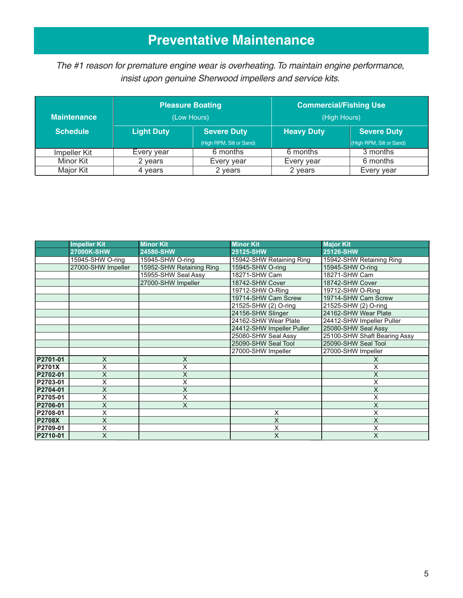## **Preventative Maintenance**

The #1 reason for premature engine wear is overheating.To maintain engine performance, insist upon genuine Sherwood impellers and service kits.

| <b>Maintenance</b> | <b>Pleasure Boating</b><br>(Low Hours) |                          | <b>Commercial/Fishing Use</b><br>(High Hours) |                          |  |
|--------------------|----------------------------------------|--------------------------|-----------------------------------------------|--------------------------|--|
| <b>Schedule</b>    | <b>Light Duty</b>                      | <b>Severe Duty</b>       | <b>Heavy Duty</b>                             | <b>Severe Duty</b>       |  |
|                    |                                        | (High RPM, Silt or Sand) |                                               | (High RPM, Silt or Sand) |  |
| Impeller Kit       | Every year                             | 6 months                 | 6 months                                      | 3 months                 |  |
| Minor Kit          | 2 years                                | Every year               | Every year                                    | 6 months                 |  |
| Major Kit          | 4 years                                | 2 years                  | 2 years                                       | Every year               |  |

|               | <b>Impeller Kit</b> | <b>Minor Kit</b>         | <b>Minor Kit</b>          | <b>Major Kit</b>             |
|---------------|---------------------|--------------------------|---------------------------|------------------------------|
|               | 27000K-SHW          | 24580-SHW                | 25125-SHW                 | 25126-SHW                    |
|               | 15945-SHW O-ring    | 15945-SHW O-ring         | 15942-SHW Retaining Ring  | 15942-SHW Retaining Ring     |
|               | 27000-SHW Impeller  | 15952-SHW Retaining Ring | 15945-SHW O-ring          | 15945-SHW O-ring             |
|               |                     | 15955-SHW Seal Assy      | 18271-SHW Cam             | 18271-SHW Cam                |
|               |                     | 27000-SHW Impeller       | 18742-SHW Cover           | 18742-SHW Cover              |
|               |                     |                          | 19712-SHW O-Ring          | 19712-SHW O-Ring             |
|               |                     |                          | 19714-SHW Cam Screw       | 19714-SHW Cam Screw          |
|               |                     |                          | 21525-SHW (2) O-ring      | 21525-SHW (2) O-ring         |
|               |                     |                          | 24156-SHW Slinger         | 24162-SHW Wear Plate         |
|               |                     |                          | 24162-SHW Wear Plate      | 24412-SHW Impeller Puller    |
|               |                     |                          | 24412-SHW Impeller Puller | 25080-SHW Seal Assy          |
|               |                     |                          | 25080-SHW Seal Assy       | 25100-SHW Shaft Bearing Assy |
|               |                     |                          | 25090-SHW Seal Tool       | 25090-SHW Seal Tool          |
|               |                     |                          | 27000-SHW Impeller        | 27000-SHW Impeller           |
| P2701-01      | X                   | X                        |                           |                              |
| <b>P2701X</b> | Χ                   | X                        |                           | X                            |
| P2702-01      | X                   | Χ                        |                           | X                            |
| P2703-01      | X                   | $\overline{\mathsf{x}}$  |                           | X                            |
| P2704-01      | X                   | $\overline{\mathsf{x}}$  |                           | X                            |
| P2705-01      | X                   | X                        |                           | x                            |
| P2706-01      | X                   | X                        |                           | X                            |
| P2708-01      | X                   |                          | X                         | X                            |
| <b>P2708X</b> | X                   |                          | Χ                         | X                            |
| P2709-01      | X                   |                          | Χ                         | X                            |
| P2710-01      | X                   |                          | X                         | X                            |